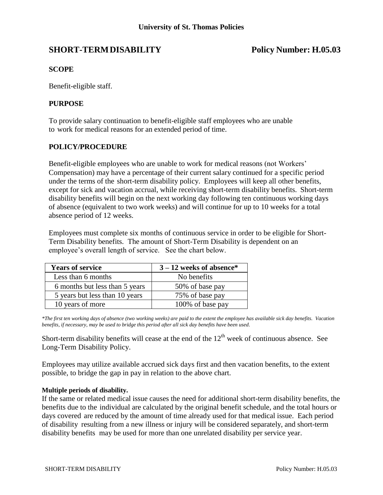# **SHORT-TERMDISABILITY Policy Number: H.05.03**

## **SCOPE**

Benefit-eligible staff.

## **PURPOSE**

To provide salary continuation to benefit-eligible staff employees who are unable to work for medical reasons for an extended period of time.

## **POLICY/PROCEDURE**

Benefit-eligible employees who are unable to work for medical reasons (not Workers' Compensation) may have a percentage of their current salary continued for a specific period under the terms of the short-term disability policy. Employees will keep all other benefits, except for sick and vacation accrual, while receiving short-term disability benefits. Short-term disability benefits will begin on the next working day following ten continuous working days of absence (equivalent to two work weeks) and will continue for up to 10 weeks for a total absence period of 12 weeks.

Employees must complete six months of continuous service in order to be eligible for Short-Term Disability benefits. The amount of Short-Term Disability is dependent on an employee's overall length of service. See the chart below.

| <b>Years of service</b>        | $3 - 12$ weeks of absence* |
|--------------------------------|----------------------------|
| Less than 6 months             | No benefits                |
| 6 months but less than 5 years | 50% of base pay            |
| 5 years but less than 10 years | 75% of base pay            |
| 10 years of more               | 100% of base pay           |

*\*The first ten working days of absence (two working weeks) are paid to the extent the employee has available sick day benefits. Vacation benefits, if necessary, may be used to bridge this period after all sick day benefits have been used.*

Short-term disability benefits will cease at the end of the  $12<sup>th</sup>$  week of continuous absence. See Long-Term Disability Policy.

Employees may utilize available accrued sick days first and then vacation benefits, to the extent possible, to bridge the gap in pay in relation to the above chart.

### **Multiple periods of disability.**

If the same or related medical issue causes the need for additional short-term disability benefits, the benefits due to the individual are calculated by the original benefit schedule, and the total hours or days covered are reduced by the amount of time already used for that medical issue. Each period of disability resulting from a new illness or injury will be considered separately, and short-term disability benefits may be used for more than one unrelated disability per service year.